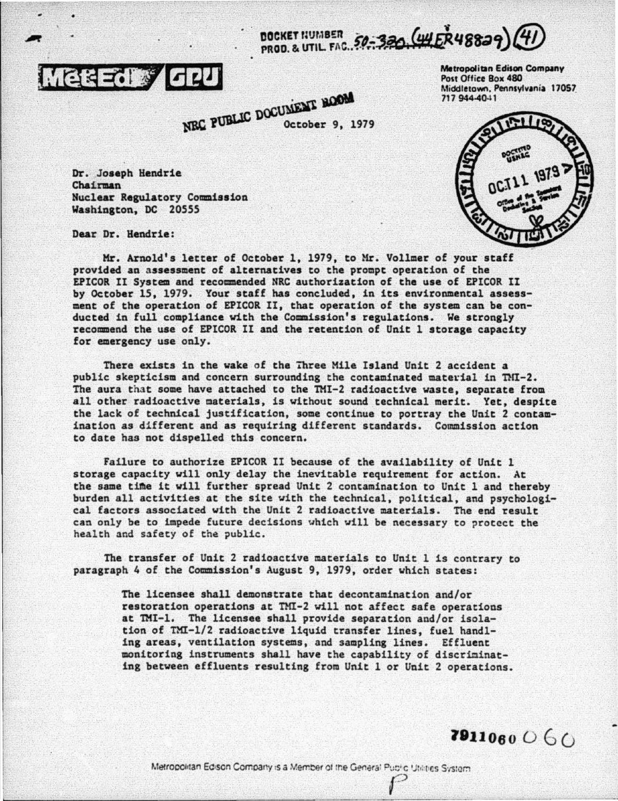DOCKET HUMBER 50-330 (HER48829) 4



NEC PUBLIC DOCUMENT NOOM October 9, 1979 Metropolitan Edison Company Post Office Rox 480 Middletown, Pennsylvania 17057 717 944-40-11



Dr. Joseph Hendrie Chairman Nuclear Regulatory Commission Washington, DC 20555

Dear Dr. Hendrie:

Mr. Arnold's letter of October 1, 1979, to Mr. Vollmer of your staff provided an assessment of alternatives to the prompt operation of the EPICOR II System and recommended NRC authorization of the use of EPICOR II by October 15, 1979. Your staff has concluded, in its environmental assessment of the operation of EPICOR II, that operation of the system can be conducted in full compliance with the Commission's regulations. We strongly recommend the use of EPICOR II and the retention of Unit 1 storage capacity for emergency use only.

There exists in the wake of the Three Mile Island Unit 2 accident a public skepticism and concern surrounding the contaminated material in TMI-2. The aura that some have attached to the TMI-2 radioactive waste, separate from all other radioactive materials, is without sound technical merit. Yet, despite the lack of technical justification, some continue to portray the Unit 2 contamination as different and as requiring different standards. Commission action to date has not dispelled this concern.

Failure to authorize EPICOR II because of the availability of Unit 1 storage capacity will only delay the inevitable requirement for action. At the same time it will further spread Unit 2 contamination to Unit 1 and thereby burden all activities at the site with the technical, political, and psychological factors associated with the Unit 2 radioactive materials. The end result can only be to impede future decisions which will be necessary to protect the health and safety of the public.

The transfer of Unit 2 radioactive materials to Unit 1 is contrary to paragraph 4 of the Commission's August 9, 1979, order which states:

> The licensee shall demonstrate that decontamination and/or restoration operations at TMI-2 will not affect safe operations at TMI-1. The licensee shall provide separation and/or isolation of TMI-1/2 radioactive liquid transfer lines, fuel handling areas, ventilation systems, and sampling lines. Effluent monitoring instruments shall have the capability of discriminating between effluents resulting from Unit 1 or Unit 2 operations.

7911060060

Metropolitan Edison Company is a Member of the General Public Uteries System